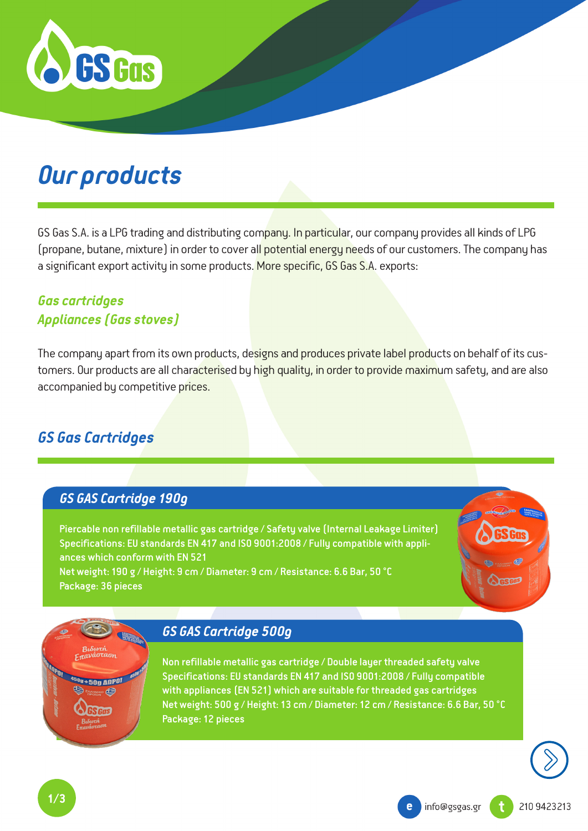

# *Our products*

GS Gas S.A. is a LPG trading and distributing company. In particular, our company provides all kinds of LPG (propane, butane, mixture) in order to cover all potential energy needs of our customers. The company has a significant export activity in some products. More specific, GS Gas S.A. exports:

## *Gas cartridges Appliances (Gas stoves)*

The company apart from its own products, designs and produces private label products on behalf of its customers. Our products are all characterised by high quality, in order to provide maximum safety, and are also accompanied by competitive prices.

# *GS Gas Cartridges*

#### *GS GAS Cartridge 190g*

Piercable non refillable metallic gas cartridge / Safety valve (Internal Leakage Limiter) Specifications: EU standards EN 417 and ISO 9001:2008 / Fully compatible with appliances which conform with EN 521 Net weight: 190 g / Height: 9 cm / Diameter: 9 cm / Resistance: 6.6 Bar, 50 °C

Package: 36 pieces

#### *GS GAS Cartridge 500g*

Non refillable metallic gas cartridge / Double layer threaded safety valve Specifications: EU standards EN 417 and ISO 9001:2008 / Fully compatible with appliances (EN 521) which are suitable for threaded gas cartridges Net weight: 500 g / Height: 13 cm / Diameter: 12 cm / Resistance: 6.6 Bar, 50 °C Package: 12 pieces

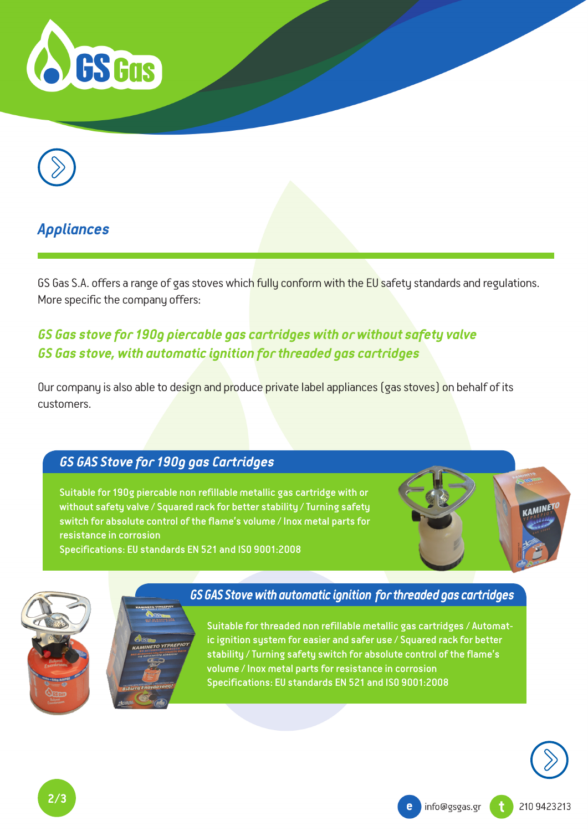



# *Appliances*

GS Gas S.A. offers a range of gas stoves which fully conform with the EU safety standards and regulations. More specific the company offers:

# *GS Gas stove for 190g piercable gas cartridges with or without safety valve GS Gas stove, with automatic ignition for threaded gas cartridges*

Our company is also able to design and produce private label appliances (gas stoves) on behalf of its customers.

#### *GS GAS Stove for 190g gas Cartridges*

Suitable for 190g piercable non refillable metallic gas cartridge with or without safety valve / Squared rack for better stability / Turning safety switch for absolute control of the flame's volume / Inox metal parts for resistance in corrosion

Specifications: EU standards EN 521 and ISO 9001:2008



# *GS GAS Stove with automatic ignition for threaded gas cartridges*

Suitable for threaded non refillable metallic gas cartridges / Automatic ignition system for easier and safer use / Squared rack for better stability / Turning safety switch for absolute control of the flame's volume / Inox metal parts for resistance in corrosion Specifications: EU standards EN 521 and ISO 9001:2008



**KAMINE**